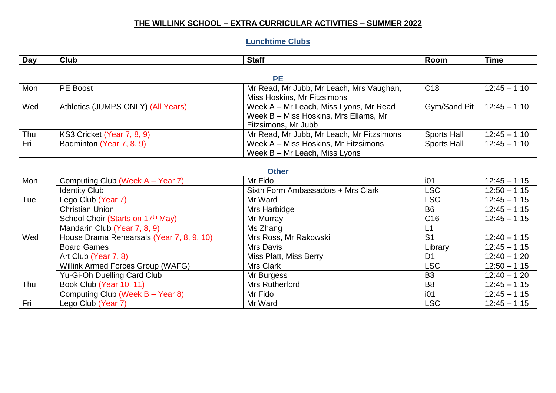## **THE WILLINK SCHOOL – EXTRA CURRICULAR ACTIVITIES – SUMMER 2022**

# **Lunchtime Clubs**

| Dav | Club | <b>Stafi</b> | .<br>ROOM | <b>l</b> ime |
|-----|------|--------------|-----------|--------------|

#### **PE**

| Mon | PE Boost                           | Mr Read, Mr Jubb, Mr Leach, Mrs Vaughan,  | C <sub>18</sub>    | $12:45 - 1:10$   |  |  |  |
|-----|------------------------------------|-------------------------------------------|--------------------|------------------|--|--|--|
|     |                                    | Miss Hoskins, Mr Fitzsimons               |                    |                  |  |  |  |
| Wed | Athletics (JUMPS ONLY) (All Years) | Week A – Mr Leach, Miss Lyons, Mr Read    | Gym/Sand Pit       | $ 12:45 - 1:10 $ |  |  |  |
|     |                                    | Week B – Miss Hoskins, Mrs Ellams, Mr     |                    |                  |  |  |  |
|     |                                    | Fitzsimons, Mr Jubb                       |                    |                  |  |  |  |
| Thu | KS3 Cricket (Year 7, 8, 9)         | Mr Read, Mr Jubb, Mr Leach, Mr Fitzsimons | <b>Sports Hall</b> | $12:45 - 1:10$   |  |  |  |
| Fri | Badminton (Year 7, 8, 9)           | Week A – Miss Hoskins, Mr Fitzsimons      | <b>Sports Hall</b> | $12:45 - 1:10$   |  |  |  |
|     |                                    | Week $B - Mr$ Leach, Miss Lyons           |                    |                  |  |  |  |

## **Other**

| Mon | Computing Club (Week A - Year 7)          | Mr Fido                            | i01             | $12:45 - 1:15$ |
|-----|-------------------------------------------|------------------------------------|-----------------|----------------|
|     | <b>Identity Club</b>                      | Sixth Form Ambassadors + Mrs Clark | LSC             | $12:50 - 1:15$ |
| Tue | Lego Club (Year 7)                        | Mr Ward                            | LSC             | $12:45 - 1:15$ |
|     | <b>Christian Union</b>                    | Mrs Harbidge                       | B <sub>6</sub>  | $12:45 - 1:15$ |
|     | School Choir (Starts on 17th May)         | Mr Murray                          | C <sub>16</sub> | $12:45 - 1:15$ |
|     | Mandarin Club (Year 7, 8, 9)              | Ms Zhang                           |                 |                |
| Wed | House Drama Rehearsals (Year 7, 8, 9, 10) | Mrs Ross, Mr Rakowski              | S <sub>1</sub>  | $12:40 - 1:15$ |
|     | <b>Board Games</b>                        | Mrs Davis                          | Library         | $12:45 - 1:15$ |
|     | Art Club (Year 7, 8)                      | Miss Platt, Miss Berry             | D <sub>1</sub>  | $12:40 - 1:20$ |
|     | Willink Armed Forces Group (WAFG)         | <b>Mrs Clark</b>                   | LSC             | $12:50 - 1:15$ |
|     | Yu-Gi-Oh Duelling Card Club               | Mr Burgess                         | B <sub>3</sub>  | $12:40 - 1:20$ |
| Thu | Book Club (Year 10, 11)                   | <b>Mrs Rutherford</b>              | B <sub>8</sub>  | $12:45 - 1:15$ |
|     | Computing Club (Week B - Year 8)          | Mr Fido                            | i <sub>01</sub> | $12:45 - 1:15$ |
| Fri | Lego Club (Year 7)                        | Mr Ward                            | LSC             | $12:45 - 1:15$ |